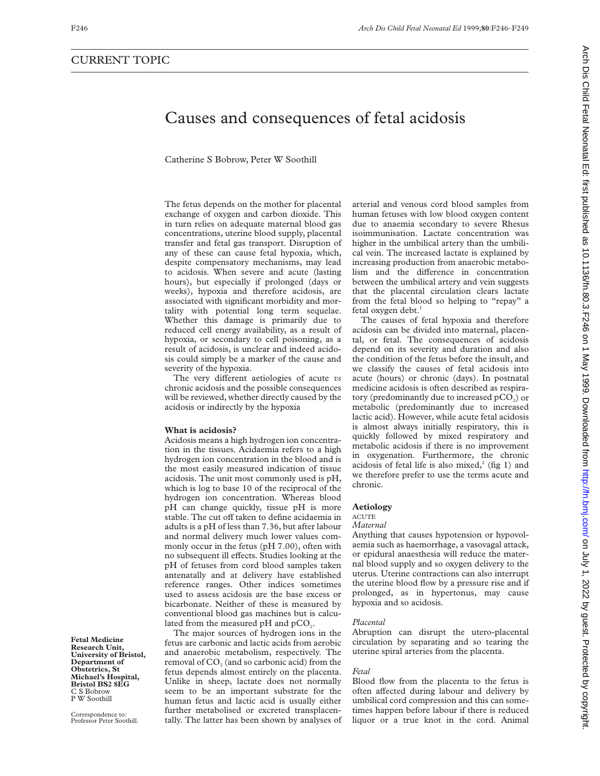# Causes and consequences of fetal acidosis

Catherine S Bobrow, Peter W Soothill

The fetus depends on the mother for placental exchange of oxygen and carbon dioxide. This in turn relies on adequate maternal blood gas concentrations, uterine blood supply, placental transfer and fetal gas transport. Disruption of any of these can cause fetal hypoxia, which, despite compensatory mechanisms, may lead to acidosis. When severe and acute (lasting hours), but especially if prolonged (days or weeks), hypoxia and therefore acidosis, are associated with significant morbidity and mortality with potential long term sequelae. Whether this damage is primarily due to reduced cell energy availability, as a result of hypoxia, or secondary to cell poisoning, as a result of acidosis, is unclear and indeed acidosis could simply be a marker of the cause and severity of the hypoxia.

The very different aetiologies of acute *vs* chronic acidosis and the possible consequences will be reviewed, whether directly caused by the acidosis or indirectly by the hypoxia

#### **What is acidosis?**

Acidosis means a high hydrogen ion concentration in the tissues. Acidaemia refers to a high hydrogen ion concentration in the blood and is the most easily measured indication of tissue acidosis. The unit most commonly used is pH, which is log to base 10 of the reciprocal of the hydrogen ion concentration. Whereas blood pH can change quickly, tissue pH is more stable. The cut off taken to define acidaemia in adults is a pH of less than 7.36, but after labour and normal delivery much lower values commonly occur in the fetus (pH 7.00), often with no subsequent ill effects. Studies looking at the pH of fetuses from cord blood samples taken antenatally and at delivery have established reference ranges. Other indices sometimes used to assess acidosis are the base excess or bicarbonate. Neither of these is measured by conventional blood gas machines but is calculated from the measured pH and  $pCO<sub>2</sub>$ .

The major sources of hydrogen ions in the fetus are carbonic and lactic acids from aerobic and anaerobic metabolism, respectively. The removal of  $CO<sub>2</sub>$  (and so carbonic acid) from the fetus depends almost entirely on the placenta. Unlike in sheep, lactate does not normally seem to be an important substrate for the human fetus and lactic acid is usually either further metabolised or excreted transplacentally. The latter has been shown by analyses of arterial and venous cord blood samples from human fetuses with low blood oxygen content due to anaemia secondary to severe Rhesus isoimmunisation. Lactate concentration was higher in the umbilical artery than the umbilical vein. The increased lactate is explained by increasing production from anaerobic metabolism and the difference in concentration between the umbilical artery and vein suggests that the placental circulation clears lactate from the fetal blood so helping to "repay" a fetal oxygen debt. $<sup>1</sup>$ </sup>

The causes of fetal hypoxia and therefore acidosis can be divided into maternal, placental, or fetal. The consequences of acidosis depend on its severity and duration and also the condition of the fetus before the insult, and we classify the causes of fetal acidosis into acute (hours) or chronic (days). In postnatal medicine acidosis is often described as respiratory (predominantly due to increased  $pCO<sub>2</sub>$ ) or metabolic (predominantly due to increased lactic acid). However, while acute fetal acidosis is almost always initially respiratory, this is quickly followed by mixed respiratory and metabolic acidosis if there is no improvement in oxygenation. Furthermore, the chronic acidosis of fetal life is also mixed, $^{2}$  (fig 1) and we therefore prefer to use the terms acute and chronic.

## **Aetiology**

## ACUTE

## *Maternal*

Anything that causes hypotension or hypovolaemia such as haemorrhage, a vasovagal attack, or epidural anaesthesia will reduce the maternal blood supply and so oxygen delivery to the uterus. Uterine contractions can also interrupt the uterine blood flow by a pressure rise and if prolonged, as in hypertonus, may cause hypoxia and so acidosis.

## *Placental*

Abruption can disrupt the utero-placental circulation by separating and so tearing the uterine spiral arteries from the placenta.

## *Fetal*

Blood flow from the placenta to the fetus is often affected during labour and delivery by umbilical cord compression and this can sometimes happen before labour if there is reduced liquor or a true knot in the cord. Animal

**Fetal Medicine Research Unit, University of Bristol, Department of Obstetrics, St Michael's Hospital, Bristol BS2 8EG** C S Bobrow P W Soothill

Correspondence to: Professor Peter Soothill.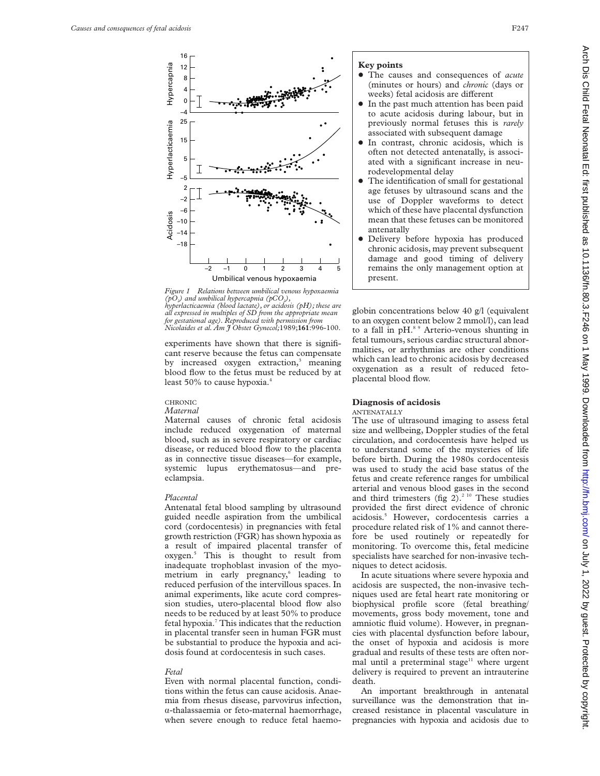

*Figure 1 Relations between umbilical venous hypoxaemia*  $(pO<sub>2</sub>)$  and umbilical hypercapnia  $(pCO<sub>2</sub>)$ , *hyperlacticaemia (blood lactate), or acidosis (pH); these are all expressed in multiples of SD from the appropriate mean for gestational age). Reproduced with permission from Nicolaides et al. Am J Obstet Gynecol;*1989;**161**:996-100.

experiments have shown that there is significant reserve because the fetus can compensate by increased oxygen extraction,<sup>3</sup> meaning blood flow to the fetus must be reduced by at least 50% to cause hypoxia.<sup>4</sup>

## CHRONIC

## *Maternal*

Maternal causes of chronic fetal acidosis include reduced oxygenation of maternal blood, such as in severe respiratory or cardiac disease, or reduced blood flow to the placenta as in connective tissue diseases—for example, systemic lupus erythematosus—and preeclampsia.

#### *Placental*

Antenatal fetal blood sampling by ultrasound guided needle aspiration from the umbilical cord (cordocentesis) in pregnancies with fetal growth restriction (FGR) has shown hypoxia as a result of impaired placental transfer of oxygen.5 This is thought to result from inadequate trophoblast invasion of the myometrium in early pregnancy,<sup>6</sup> leading to reduced perfusion of the intervillous spaces. In animal experiments, like acute cord compression studies, utero-placental blood flow also needs to be reduced by at least 50% to produce fetal hypoxia.7 This indicates that the reduction in placental transfer seen in human FGR must be substantial to produce the hypoxia and acidosis found at cordocentesis in such cases.

#### *Fetal*

Even with normal placental function, conditions within the fetus can cause acidosis. Anaemia from rhesus disease, parvovirus infection, á-thalassaemia or feto-maternal haemorrhage, when severe enough to reduce fetal haemo-

## **Key points**

- + The causes and consequences of *acute* (minutes or hours) and *chronic* (days or weeks) fetal acidosis are different
- In the past much attention has been paid to acute acidosis during labour, but in previously normal fetuses this is *rarely* associated with subsequent damage
- In contrast, chronic acidosis, which is often not detected antenatally, is associated with a significant increase in neurodevelopmental delay
- The identification of small for gestational age fetuses by ultrasound scans and the use of Doppler waveforms to detect which of these have placental dysfunction mean that these fetuses can be monitored antenatally
- Delivery before hypoxia has produced chronic acidosis, may prevent subsequent damage and good timing of delivery remains the only management option at present.

globin concentrations below 40 g/l (equivalent to an oxygen content below 2 mmol/l), can lead to a fall in pH.<sup>8 9</sup> Arterio-venous shunting in fetal tumours, serious cardiac structural abnormalities, or arrhythmias are other conditions which can lead to chronic acidosis by decreased oxygenation as a result of reduced fetoplacental blood flow.

### **Diagnosis of acidosis**

#### ANTENATALLY

The use of ultrasound imaging to assess fetal size and wellbeing, Doppler studies of the fetal circulation, and cordocentesis have helped us to understand some of the mysteries of life before birth. During the 1980s cordocentesis was used to study the acid base status of the fetus and create reference ranges for umbilical arterial and venous blood gases in the second and third trimesters (fig  $2$ ).<sup>2 10</sup> These studies provided the first direct evidence of chronic acidosis.5 However, cordocentesis carries a procedure related risk of 1% and cannot therefore be used routinely or repeatedly for monitoring. To overcome this, fetal medicine specialists have searched for non-invasive techniques to detect acidosis.

In acute situations where severe hypoxia and acidosis are suspected, the non-invasive techniques used are fetal heart rate monitoring or biophysical profile score (fetal breathing/ movements, gross body movement, tone and amniotic fluid volume). However, in pregnancies with placental dysfunction before labour, the onset of hypoxia and acidosis is more gradual and results of these tests are often normal until a preterminal stage $11$  where urgent delivery is required to prevent an intrauterine death.

An important breakthrough in antenatal surveillance was the demonstration that increased resistance in placental vasculature in pregnancies with hypoxia and acidosis due to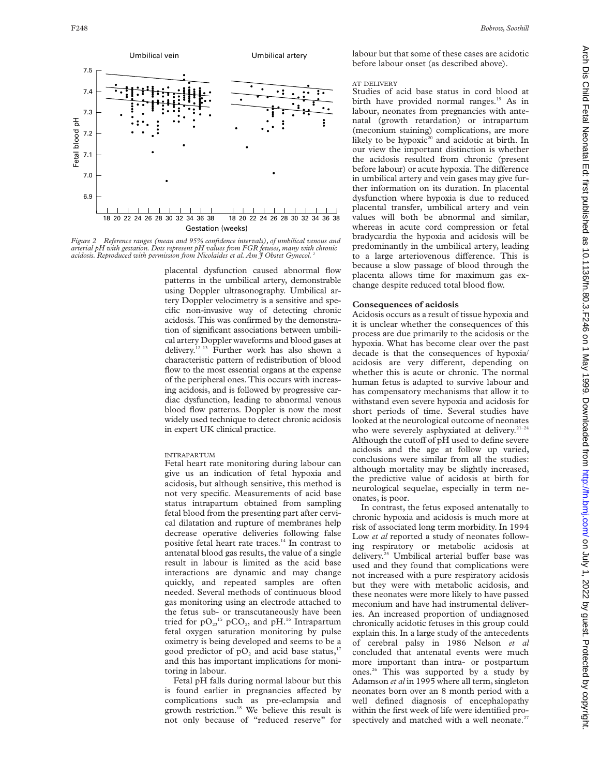

*Figure 2 Reference ranges (mean and 95% confidence intervals), of umbilical venous and arterial pH with gestation. Dots represent pH values from FGR fetuses, many with chronic acidosis. Reproduced with permission from Nicolaides et al. Am J Obstet Gynecol. <sup>2</sup>*

placental dysfunction caused abnormal flow patterns in the umbilical artery, demonstrable using Doppler ultrasonography. Umbilical artery Doppler velocimetry is a sensitive and specific non-invasive way of detecting chronic acidosis. This was confirmed by the demonstration of significant associations between umbilical artery Doppler waveforms and blood gases at delivery.12 13 Further work has also shown a characteristic pattern of redistribution of blood flow to the most essential organs at the expense of the peripheral ones. This occurs with increasing acidosis, and is followed by progressive cardiac dysfunction, leading to abnormal venous blood flow patterns. Doppler is now the most widely used technique to detect chronic acidosis in expert UK clinical practice.

#### INTRAPARTUM

Fetal heart rate monitoring during labour can give us an indication of fetal hypoxia and acidosis, but although sensitive, this method is not very specific. Measurements of acid base status intrapartum obtained from sampling fetal blood from the presenting part after cervical dilatation and rupture of membranes help decrease operative deliveries following false positive fetal heart rate traces.<sup>14</sup> In contrast to antenatal blood gas results, the value of a single result in labour is limited as the acid base interactions are dynamic and may change quickly, and repeated samples are often needed. Several methods of continuous blood gas monitoring using an electrode attached to the fetus sub- or transcutaneously have been tried for  $pO_2$ ,<sup>15</sup> pCO<sub>2</sub>, and pH.<sup>16</sup> Intrapartum fetal oxygen saturation monitoring by pulse oximetry is being developed and seems to be a good predictor of  $pO_2$  and acid base status,<sup>1</sup> and this has important implications for monitoring in labour.

Fetal pH falls during normal labour but this is found earlier in pregnancies affected by complications such as pre-eclampsia and growth restriction.18 We believe this result is not only because of "reduced reserve" for

labour but that some of these cases are acidotic before labour onset (as described above).

#### AT DELIVERY

Studies of acid base status in cord blood at birth have provided normal ranges.<sup>19</sup> As in labour, neonates from pregnancies with antenatal (growth retardation) or intrapartum (meconium staining) complications, are more likely to be hypoxic $20$  and acidotic at birth. In our view the important distinction is whether the acidosis resulted from chronic (present before labour) or acute hypoxia. The difference in umbilical artery and vein gases may give further information on its duration. In placental dysfunction where hypoxia is due to reduced placental transfer, umbilical artery and vein values will both be abnormal and similar, whereas in acute cord compression or fetal bradycardia the hypoxia and acidosis will be predominantly in the umbilical artery, leading to a large arteriovenous difference. This is because a slow passage of blood through the placenta allows time for maximum gas exchange despite reduced total blood flow.

## **Consequences of acidosis**

Acidosis occurs as a result of tissue hypoxia and it is unclear whether the consequences of this process are due primarily to the acidosis or the hypoxia. What has become clear over the past decade is that the consequences of hypoxia/ acidosis are very different, depending on whether this is acute or chronic. The normal human fetus is adapted to survive labour and has compensatory mechanisms that allow it to withstand even severe hypoxia and acidosis for short periods of time. Several studies have looked at the neurological outcome of neonates who were severely asphyxiated at delivery.<sup>21-24</sup> Although the cutoff of pH used to define severe acidosis and the age at follow up varied, conclusions were similar from all the studies: although mortality may be slightly increased, the predictive value of acidosis at birth for neurological sequelae, especially in term neonates, is poor.

In contrast, the fetus exposed antenatally to chronic hypoxia and acidosis is much more at risk of associated long term morbidity. In 1994 Low *et al* reported a study of neonates following respiratory or metabolic acidosis at delivery.<sup>25</sup> Umbilical arterial buffer base was used and they found that complications were not increased with a pure respiratory acidosis but they were with metabolic acidosis, and these neonates were more likely to have passed meconium and have had instrumental deliveries. An increased proportion of undiagnosed chronically acidotic fetuses in this group could explain this. In a large study of the antecedents of cerebral palsy in 1986 Nelson *et al* concluded that antenatal events were much more important than intra- or postpartum ones.26 This was supported by a study by Adamson *et al* in 1995 where all term, singleton neonates born over an 8 month period with a well defined diagnosis of encephalopathy within the first week of life were identified prospectively and matched with a well neonate. $27$